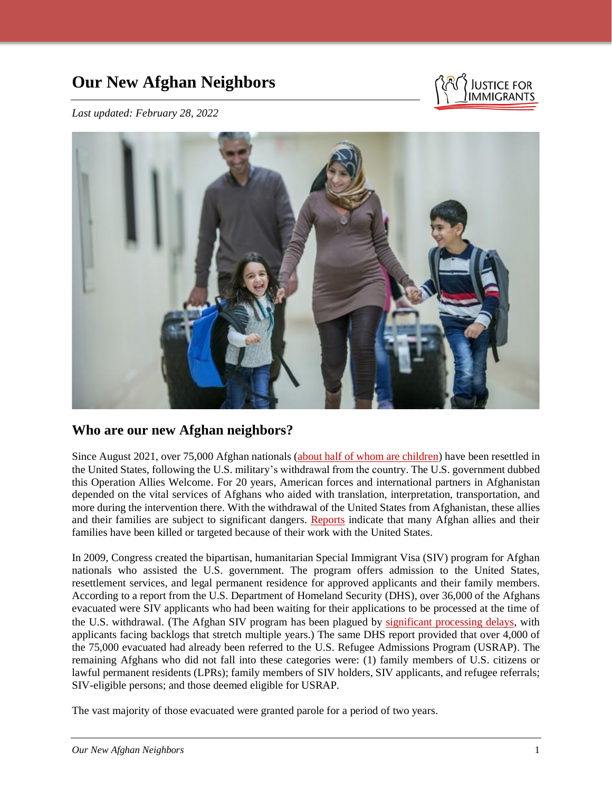# **Our New Afghan Neighbors**



*Last updated: February 28, 2022*



# **Who are our new Afghan neighbors?**

Since August 2021, over 75,000 Afghan nationals (about half [of whom are children\)](https://thehill.com/policy/defense/577611-pentagon-says-almost-half-of-afghan-evacuees-at-us-bases-are-children) have been resettled in the United States, following the U.S. military's withdrawal from the country. The U.S. government dubbed this Operation Allies Welcome. For 20 years, American forces and international partners in Afghanistan depended on the vital services of Afghans who aided with translation, interpretation, transportation, and more during the intervention there. With the withdrawal of the United States from Afghanistan, these allies and their families are subject to significant dangers. [Reports](https://www.nytimes.com/2022/02/16/us/afghan-refugees-humanitarian-parole.html) indicate that many Afghan allies and their families have been killed or targeted because of their work with the United States.

In 2009, Congress created the bipartisan, humanitarian Special Immigrant Visa (SIV) program for Afghan nationals who assisted the U.S. government. The program offers admission to the United States, resettlement services, and legal permanent residence for approved applicants and their family members. According to a report from the U.S. Department of Homeland Security (DHS), over 36,000 of the Afghans evacuated were SIV applicants who had been waiting for their applications to be processed at the time of the U.S. withdrawal. (The Afghan SIV program has been plagued by [significant processing delays,](https://foreignpolicy.com/2021/08/19/expedited-visas-vulnerable-afghans-refugee-asylum-kabul-taliban-biden/#:~:text=What) with applicants facing backlogs that stretch multiple years.) The same DHS report provided that over 4,000 of the 75,000 evacuated had already been referred to the U.S. Refugee Admissions Program (USRAP). The remaining Afghans who did not fall into these categories were: (1) family members of U.S. citizens or lawful permanent residents (LPRs); family members of SIV holders, SIV applicants, and refugee referrals; SIV-eligible persons; and those deemed eligible for USRAP.

The vast majority of those evacuated were granted parole for a period of two years.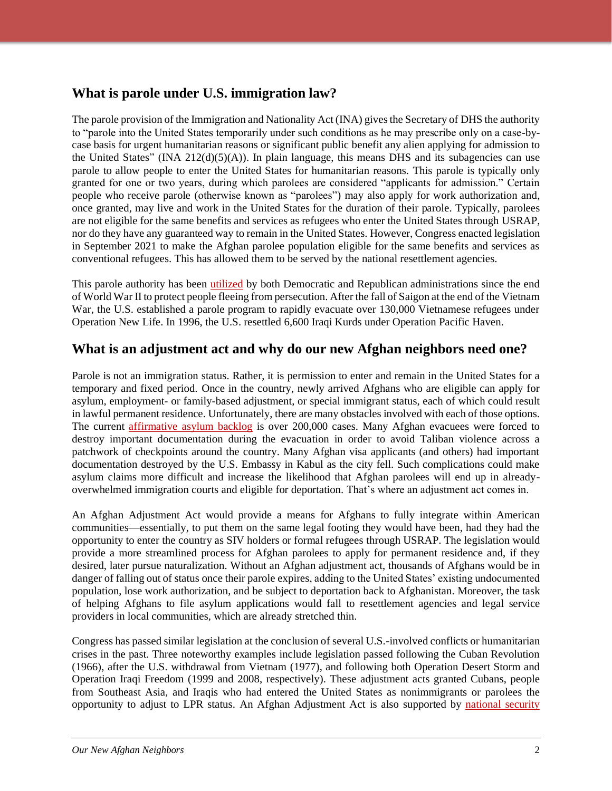# **What is parole under U.S. immigration law?**

The parole provision of the Immigration and Nationality Act (INA) gives the Secretary of DHS the authority to "parole into the United States temporarily under such conditions as he may prescribe only on a case-bycase basis for urgent humanitarian reasons or significant public benefit any alien applying for admission to the United States" (INA  $212(d)(5)(A)$ ). In plain language, this means DHS and its subagencies can use parole to allow people to enter the United States for humanitarian reasons. This parole is typically only granted for one or two years, during which parolees are considered "applicants for admission." Certain people who receive parole (otherwise known as "parolees") may also apply for work authorization and, once granted, may live and work in the United States for the duration of their parole. Typically, parolees are not eligible for the same benefits and services as refugees who enter the United States through USRAP, nor do they have any guaranteed way to remain in the United States. However, Congress enacted legislation in September 2021 to make the Afghan parolee population eligible for the same benefits and services as conventional refugees. This has allowed them to be served by the national resettlement agencies.

This parole authority has been [utilized](https://immigrationforum.org/article/explainer-what-we-can-learn-from-prior-adjustment-acts-and-what-they-mean-for-afghan-resettlement/) by both Democratic and Republican administrations since the end of World War II to protect people fleeing from persecution. After the fall of Saigon at the end of the Vietnam War, the U.S. established a parole program to rapidly evacuate over 130,000 Vietnamese refugees under Operation New Life. In 1996, the U.S. resettled 6,600 Iraqi Kurds under Operation Pacific Haven.

# **What is an adjustment act and why do our new Afghan neighbors need one?**

Parole is not an immigration status. Rather, it is permission to enter and remain in the United States for a temporary and fixed period. Once in the country, newly arrived Afghans who are eligible can apply for asylum, employment- or family-based adjustment, or special immigrant status, each of which could result in lawful permanent residence. Unfortunately, there are many obstacles involved with each of those options. The current [affirmative asylum backlog](https://trac.syr.edu/immigration/reports/672/) is over 200,000 cases. Many Afghan evacuees were forced to destroy important documentation during the evacuation in order to avoid Taliban violence across a patchwork of checkpoints around the country. Many Afghan visa applicants (and others) had important documentation destroyed by the U.S. Embassy in Kabul as the city fell. Such complications could make asylum claims more difficult and increase the likelihood that Afghan parolees will end up in alreadyoverwhelmed immigration courts and eligible for deportation. That's where an adjustment act comes in.

An Afghan Adjustment Act would provide a means for Afghans to fully integrate within American communities—essentially, to put them on the same legal footing they would have been, had they had the opportunity to enter the country as SIV holders or formal refugees through USRAP. The legislation would provide a more streamlined process for Afghan parolees to apply for permanent residence and, if they desired, later pursue naturalization. Without an Afghan adjustment act, thousands of Afghans would be in danger of falling out of status once their parole expires, adding to the United States' existing undocumented population, lose work authorization, and be subject to deportation back to Afghanistan. Moreover, the task of helping Afghans to file asylum applications would fall to resettlement agencies and legal service providers in local communities, which are already stretched thin.

Congress has passed similar legislation at the conclusion of several U.S.-involved conflicts or humanitarian crises in the past. Three noteworthy examples include legislation passed following the Cuban Revolution (1966), after the U.S. withdrawal from Vietnam (1977), and following both Operation Desert Storm and Operation Iraqi Freedom (1999 and 2008, respectively). These adjustment acts granted Cubans, people from Southeast Asia, and Iraqis who had entered the United States as nonimmigrants or parolees the opportunity to adjust to LPR status. An Afghan Adjustment Act is also supported by national security